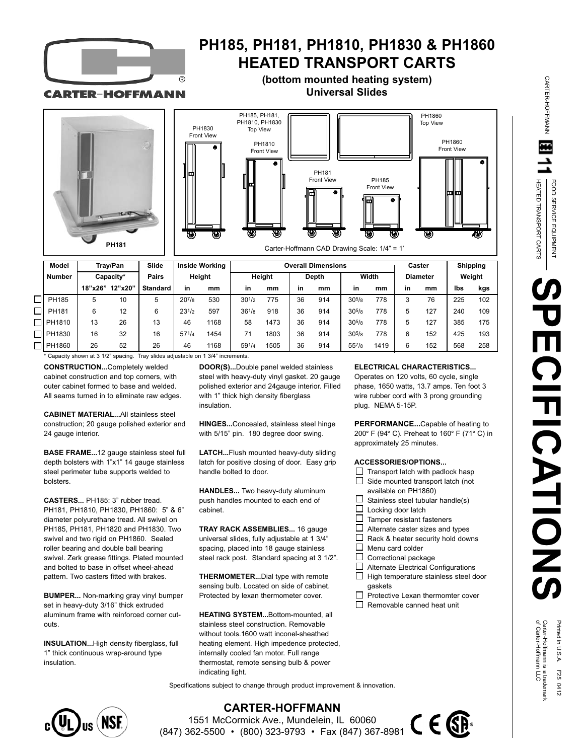

## **PH185, PH181, PH1810, PH1830 & PH1860 HEATED TRANSPORT CARTS**

### **(bottom mounted heating system) Universal Slides**

**CARTER-HOFFMANN** 





| Model         | Trav/Pan  |         | Slide           | <b>Inside Working</b> |      | <b>Overall Dimensions</b> |      |              |     |            |      | Caster          |     | <b>Shipping</b> |     |
|---------------|-----------|---------|-----------------|-----------------------|------|---------------------------|------|--------------|-----|------------|------|-----------------|-----|-----------------|-----|
| <b>Number</b> | Capacity* |         | Pairs           | Height                |      | Height                    |      | <b>Depth</b> |     | Width      |      | <b>Diameter</b> |     | Weight          |     |
|               | 18"x26"   | 12"x20" | <b>Standard</b> | in                    | mm   | in                        | mm   | in           | mm  | in         | mm   | in              | mm  | lbs             | kgs |
| PH185         | 5         | 10      | 5               | $20^{7}/8$            | 530  | $30^{1/2}$                | 775  | 36           | 914 | $30^{5/8}$ | 778  |                 | 76  | 225             | 102 |
| PH181         | 6         | 12      | 6               | $23^{1/2}$            | 597  | $36^{1/8}$                | 918  | 36           | 914 | $30^{5}/8$ | 778  |                 | 127 | 240             | 109 |
| 1 PH1810      | 13        | 26      | 13              | 46                    | 1168 | 58                        | 1473 | 36           | 914 | $30^{5}/8$ | 778  |                 | 127 | 385             | 175 |
| $\Box$ PH1830 | 16        | 32      | 16              | $57^{1/4}$            | 1454 |                           | 1803 | 36           | 914 | $30^{5}/8$ | 778  |                 | 152 | 425             | 193 |
| PH1860        | 26        | 52      | 26              | 46                    | 1168 | 591/4                     | 1505 | 36           | 914 | $55^{7}/8$ | 1419 |                 | 152 | 568             | 258 |

\* Capacity shown at 3 1/2" spacing. Tray slides adjustable on 1 3/4" increments.

**CONSTRUCTION...**Completely welded cabinet construction and top corners, with outer cabinet formed to base and welded. All seams turned in to eliminate raw edges.

**CABINET MATERIAL...**All stainless steel construction; 20 gauge polished exterior and 24 gauge interior.

**BASE FRAME...**12 gauge stainless steel full depth bolsters with 1"x1" 14 gauge stainless steel perimeter tube supports welded to bolsters.

**CASTERS...** PH185: 3" rubber tread. PH181, PH1810, PH1830, PH1860: 5" & 6" diameter polyurethane tread. All swivel on PH185, PH181, PH1820 and PH1830. Two swivel and two rigid on PH1860. Sealed roller bearing and double ball bearing swivel. Zerk grease fittings. Plated mounted and bolted to base in offset wheel-ahead pattern. Two casters fitted with brakes.

**BUMPER...** Non-marking gray vinyl bumper set in heavy-duty 3/16" thick extruded aluminum frame with reinforced corner cutouts.

**INSULATION...**High density fiberglass, full 1" thick continuous wrap-around type insulation.

**DOOR(S)...**Double panel welded stainless steel with heavy-duty vinyl gasket. 20 gauge polished exterior and 24gauge interior. Filled with 1" thick high density fiberglass insulation.

**HINGES...**Concealed, stainless steel hinge with 5/15" pin. 180 degree door swing.

**LATCH...**Flush mounted heavy-duty sliding latch for positive closing of door. Easy grip handle bolted to door.

**HANDLES...** Two heavy-duty aluminum push handles mounted to each end of cabinet.

**TRAY RACK ASSEMBLIES...** 16 gauge universal slides, fully adjustable at 1 3/4" spacing, placed into 18 gauge stainless steel rack post. Standard spacing at 3 1/2".

**THERMOMETER...**Dial type with remote sensing bulb. Located on side of cabinet. Protected by lexan thermometer cover.

**HEATING SYSTEM...**Bottom-mounted, all stainless steel construction. Removable without tools.1600 watt inconel-sheathed heating element. High impedence protected, internally cooled fan motor. Full range thermostat, remote sensing bulb & power indicating light.

Specifications subject to change through product improvement & innovation.



**CARTER-HOFFMANN** 1551 McCormick Ave., Mundelein, IL 60060 (847) 362-5500 • (800) 323-9793 • Fax (847) 367-8981

### **ELECTRICAL CHARACTERISTICS...**

Operates on 120 volts, 60 cycle, single phase, 1650 watts, 13.7 amps. Ten foot 3 wire rubber cord with 3 prong grounding plug. NEMA 5-15P.

**PERFORMANCE...**Capable of heating to 200° F (94° C). Preheat to 160° F (71° C) in approximately 25 minutes.

#### **ACCESSORIES/OPTIONS...**

- $\Box$  Transport latch with padlock hasp
- $\Box$  Side mounted transport latch (not available on PH1860)
- П Stainless steel tubular handle(s)
- $\Box$ Locking door latch
- $\Box$ Tamper resistant fasteners
- $\Box$ Alternate caster sizes and types
- П Rack & heater security hold downs П Menu card colder
- $\Box$ Correctional package
- □ Alternate Electrical Configurations
- $\Box$  High temperature stainless steel door gaskets
- П Protective Lexan thermomter cover  $\Box$  Removable canned heat unit

C E QB



CARTER-HOFFMANN

CARTER-HOFFMANN

Printed in U.S.A. F25 0412<br>Carter-Hoffmann is a trademark<br>of Carter-Hoffmann LLC